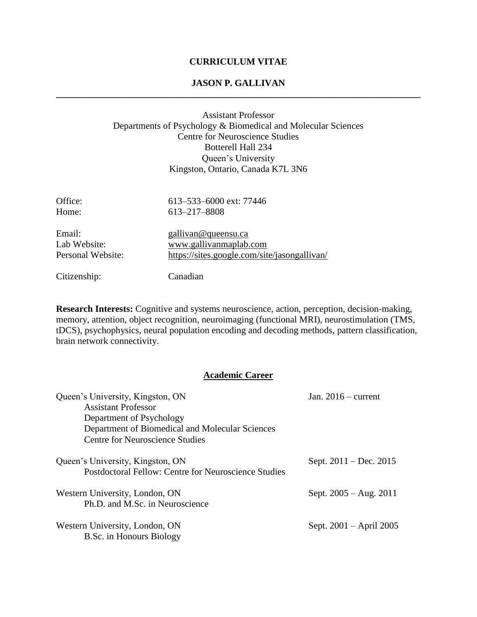#### **CURRICULUM VITAE**

#### **JASON P. GALLIVAN \_\_\_\_\_\_\_\_\_\_\_\_\_\_\_\_\_\_\_\_\_\_\_\_\_\_\_\_\_\_\_\_\_\_\_\_\_\_\_\_\_\_\_\_\_\_\_\_\_\_\_\_\_\_\_\_\_\_\_\_\_\_\_\_\_\_\_\_\_\_\_\_\_\_\_\_\_\_**

#### Assistant Professor Departments of Psychology & Biomedical and Molecular Sciences Centre for Neuroscience Studies Botterell Hall 234 Queen's University Kingston, Ontario, Canada K7L 3N6

| Office:           | 613–533–6000 ext: 77446                      |
|-------------------|----------------------------------------------|
| Home:             | 613-217-8808                                 |
| Email:            | gallivan@queensu.ca                          |
| Lab Website:      | www.gallivanmaplab.com                       |
| Personal Website: | https://sites.google.com/site/jasongallivan/ |
| Citizenship:      | Canadian                                     |

**Research Interests:** Cognitive and systems neuroscience, action, perception, decision-making, memory, attention, object recognition, neuroimaging (functional MRI), neurostimulation (TMS, tDCS), psychophysics, neural population encoding and decoding methods, pattern classification, brain network connectivity.

#### **Academic Career**

| Queen's University, Kingston, ON                                                                | Jan. $2016$ – current    |  |
|-------------------------------------------------------------------------------------------------|--------------------------|--|
| <b>Assistant Professor</b>                                                                      |                          |  |
| Department of Psychology                                                                        |                          |  |
| Department of Biomedical and Molecular Sciences                                                 |                          |  |
| Centre for Neuroscience Studies                                                                 |                          |  |
| Queen's University, Kingston, ON<br><b>Postdoctoral Fellow: Centre for Neuroscience Studies</b> | Sept. $2011 - Dec. 2015$ |  |
| Western University, London, ON                                                                  | Sept. $2005 - Aug. 2011$ |  |
| Ph.D. and M.Sc. in Neuroscience                                                                 |                          |  |
| Western University, London, ON<br>B.Sc. in Honours Biology                                      | Sept. 2001 – April 2005  |  |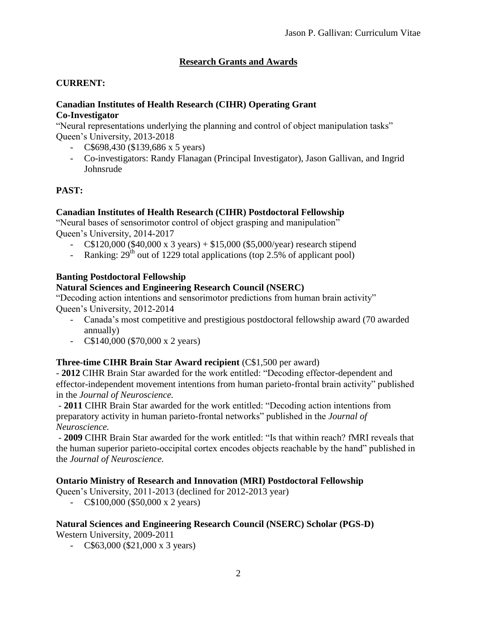# **Research Grants and Awards**

# **CURRENT:**

#### **Canadian Institutes of Health Research (CIHR) Operating Grant Co-Investigator**

"Neural representations underlying the planning and control of object manipulation tasks" Queen's University, 2013-2018

- C\$698,430 (\$139,686 x 5 years)
- Co-investigators: Randy Flanagan (Principal Investigator), Jason Gallivan, and Ingrid Johnsrude

## **PAST:**

## **Canadian Institutes of Health Research (CIHR) Postdoctoral Fellowship**

"Neural bases of sensorimotor control of object grasping and manipulation" Queen's University, 2014-2017

- C\$120,000 (\$40,000 x 3 years) + \$15,000 (\$5,000/year) research stipend
- Ranking:  $29<sup>th</sup>$  out of 1229 total applications (top 2.5% of applicant pool)

## **Banting Postdoctoral Fellowship**

## **Natural Sciences and Engineering Research Council (NSERC)**

"Decoding action intentions and sensorimotor predictions from human brain activity" Queen's University, 2012-2014

- Canada's most competitive and prestigious postdoctoral fellowship award (70 awarded annually)
- $C$140,000 ($70,000 x 2 years)$

## **Three-time CIHR Brain Star Award recipient** (C\$1,500 per award)

- **2012** CIHR Brain Star awarded for the work entitled: "Decoding effector-dependent and effector-independent movement intentions from human parieto-frontal brain activity" published in the *Journal of Neuroscience.*

- **2011** CIHR Brain Star awarded for the work entitled: "Decoding action intentions from preparatory activity in human parieto-frontal networks" published in the *Journal of Neuroscience.*

- **2009** CIHR Brain Star awarded for the work entitled: "Is that within reach? fMRI reveals that the human superior parieto-occipital cortex encodes objects reachable by the hand" published in the *Journal of Neuroscience.*

### **Ontario Ministry of Research and Innovation (MRI) Postdoctoral Fellowship**

Queen's University, 2011-2013 (declined for 2012-2013 year)

 $-$  C\$100,000 (\$50,000 x 2 years)

### **Natural Sciences and Engineering Research Council (NSERC) Scholar (PGS-D)**

Western University, 2009-2011

- C\$63,000 (\$21,000 x 3 years)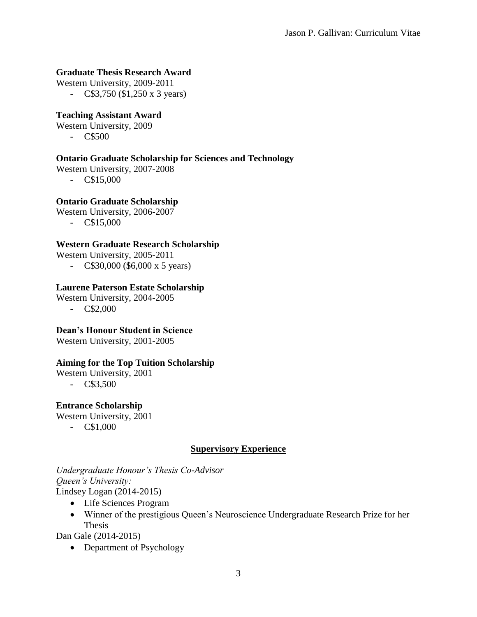#### **Graduate Thesis Research Award**

Western University, 2009-2011 - C\$3,750 (\$1,250 x 3 years)

#### **Teaching Assistant Award**

Western University, 2009

- C\$500

### **Ontario Graduate Scholarship for Sciences and Technology**

Western University, 2007-2008

- C\$15,000

### **Ontario Graduate Scholarship**

Western University, 2006-2007

- C\$15,000

#### **Western Graduate Research Scholarship**

Western University, 2005-2011

- C\$30,000 (\$6,000 x 5 years)

### **Laurene Paterson Estate Scholarship**

Western University, 2004-2005

- C\$2,000

**Dean's Honour Student in Science**

Western University, 2001-2005

### **Aiming for the Top Tuition Scholarship**

Western University, 2001

- C\$3,500

#### **Entrance Scholarship**

Western University, 2001

- C\$1,000

### **Supervisory Experience**

*Undergraduate Honour's Thesis Co-Advisor Queen's University:* Lindsey Logan (2014-2015)

- Life Sciences Program
- Winner of the prestigious Queen's Neuroscience Undergraduate Research Prize for her Thesis

Dan Gale (2014-2015)

• Department of Psychology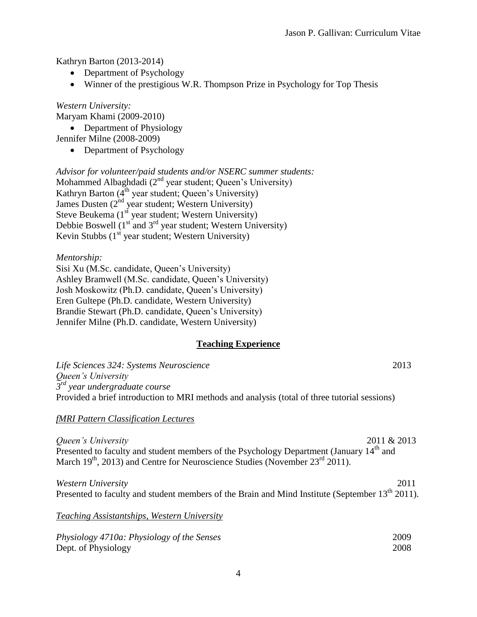Kathryn Barton (2013-2014)

- Department of Psychology
- Winner of the prestigious W.R. Thompson Prize in Psychology for Top Thesis

*Western University:*

Maryam Khami (2009-2010)

• Department of Physiology

Jennifer Milne (2008-2009)

• Department of Psychology

*Advisor for volunteer/paid students and/or NSERC summer students:* Mohammed Albaghdadi ( $2<sup>nd</sup>$  year student; Queen's University) Kathryn Barton ( $4<sup>th</sup>$  year student; Queen's University) James Dusten  $(2^{nd}$  year student; Western University) Steve Beukema  $(1<sup>st</sup>$  year student; Western University) Debbie Boswell  $(1<sup>st</sup>$  and  $3<sup>rd</sup>$  year student; Western University) Kevin Stubbs  $(1<sup>st</sup>$  year student; Western University)

*Mentorship:*

Sisi Xu (M.Sc. candidate, Queen's University) Ashley Bramwell (M.Sc. candidate, Queen's University) Josh Moskowitz (Ph.D. candidate, Queen's University) Eren Gultepe (Ph.D. candidate, Western University) Brandie Stewart (Ph.D. candidate, Queen's University) Jennifer Milne (Ph.D. candidate, Western University)

### **Teaching Experience**

| Life Sciences 324: Systems Neuroscience                                                             | 2013        |
|-----------------------------------------------------------------------------------------------------|-------------|
| Queen's University<br>$3rd$ year undergraduate course                                               |             |
| Provided a brief introduction to MRI methods and analysis (total of three tutorial sessions)        |             |
| <i>fMRI Pattern Classification Lectures</i>                                                         |             |
| Queen's University                                                                                  | 2011 & 2013 |
| Presented to faculty and student members of the Psychology Department (January 14 <sup>th</sup> and |             |
| March $19^{th}$ , 2013) and Centre for Neuroscience Studies (November $23^{rd}$ 2011).              |             |

*Western University* 2011 Presented to faculty and student members of the Brain and Mind Institute (September 13<sup>th</sup> 2011).

*Teaching Assistantships, Western University*

| Physiology 4710a: Physiology of the Senses | 2009 |
|--------------------------------------------|------|
| Dept. of Physiology                        | 2008 |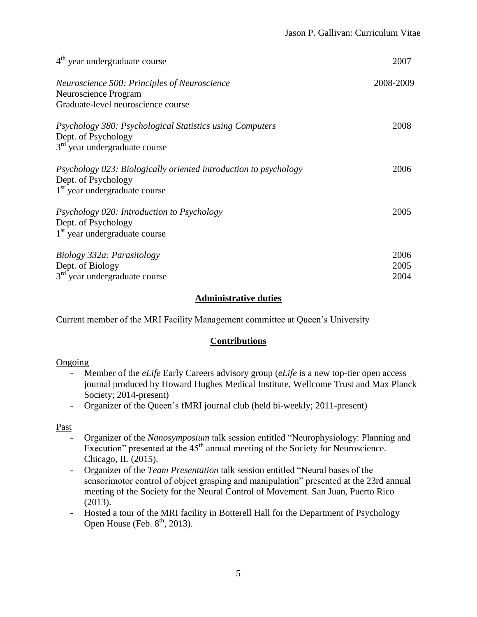| $4th$ year undergraduate course                                                                                            | 2007                 |
|----------------------------------------------------------------------------------------------------------------------------|----------------------|
| Neuroscience 500: Principles of Neuroscience<br>Neuroscience Program<br>Graduate-level neuroscience course                 | 2008-2009            |
| Psychology 380: Psychological Statistics using Computers<br>Dept. of Psychology<br>$3rd$ year undergraduate course         | 2008                 |
| Psychology 023: Biologically oriented introduction to psychology<br>Dept. of Psychology<br>$1st$ year undergraduate course | 2006                 |
| Psychology 020: Introduction to Psychology<br>Dept. of Psychology<br>1 <sup>st</sup> year undergraduate course             | 2005                 |
| Biology 332a: Parasitology<br>Dept. of Biology<br>$3rd$ year undergraduate course                                          | 2006<br>2005<br>2004 |

## **Administrative duties**

Current member of the MRI Facility Management committee at Queen's University

## **Contributions**

### **Ongoing**

- Member of the *eLife* Early Careers advisory group (*eLife* is a new top-tier open access journal produced by Howard Hughes Medical Institute, Wellcome Trust and Max Planck Society; 2014-present)
- Organizer of the Queen's fMRI journal club (held bi-weekly; 2011-present)

### Past

- Organizer of the *Nanosymposium* talk session entitled "Neurophysiology: Planning and Execution" presented at the  $45<sup>th</sup>$  annual meeting of the Society for Neuroscience. Chicago, IL (2015).
- Organizer of the *Team Presentation* talk session entitled "Neural bases of the sensorimotor control of object grasping and manipulation" presented at the 23rd annual meeting of the Society for the Neural Control of Movement. San Juan, Puerto Rico (2013).
- Hosted a tour of the MRI facility in Botterell Hall for the Department of Psychology Open House (Feb.  $8<sup>th</sup>$ , 2013).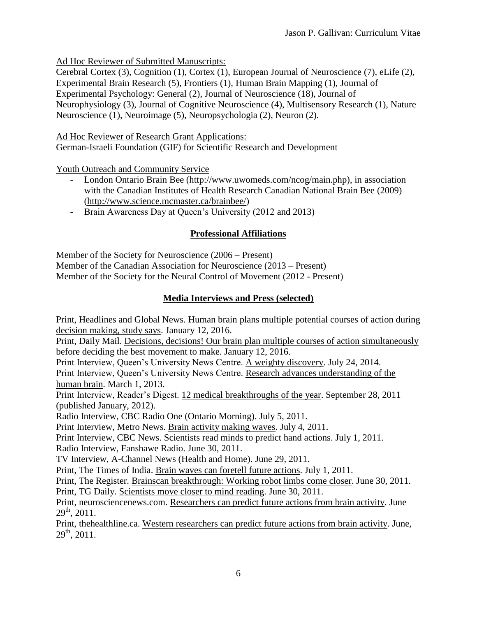Ad Hoc Reviewer of Submitted Manuscripts:

Cerebral Cortex (3), Cognition (1), Cortex (1), European Journal of Neuroscience (7), eLife (2), Experimental Brain Research (5), Frontiers (1), Human Brain Mapping (1), Journal of Experimental Psychology: General (2), Journal of Neuroscience (18), Journal of Neurophysiology (3), Journal of Cognitive Neuroscience (4), Multisensory Research (1), Nature Neuroscience (1), Neuroimage (5), Neuropsychologia (2), Neuron (2).

Ad Hoc Reviewer of Research Grant Applications:

German-Israeli Foundation (GIF) for Scientific Research and Development

Youth Outreach and Community Service

- London Ontario Brain Bee (http://www.uwomeds.com/ncog/main.php), in association with the Canadian Institutes of Health Research Canadian National Brain Bee (2009) (http://www.science.mcmaster.ca/brainbee/)
- Brain Awareness Day at Queen's University (2012 and 2013)

## **Professional Affiliations**

Member of the Society for Neuroscience (2006 – Present)

Member of the Canadian Association for Neuroscience (2013 – Present)

Member of the Society for the Neural Control of Movement (2012 - Present)

# **Media Interviews and Press (selected)**

Print, Headlines and Global News. Human brain plans multiple potential courses of action during decision making, study says. January 12, 2016.

Print, Daily Mail. Decisions, decisions! Our brain plan multiple courses of action simultaneously before deciding the best movement to make. January 12, 2016.

Print Interview, Queen's University News Centre. A weighty discovery. July 24, 2014.

Print Interview, Queen's University News Centre. Research advances understanding of the human brain. March 1, 2013.

Print Interview, Reader's Digest. 12 medical breakthroughs of the year. September 28, 2011 (published January, 2012).

Radio Interview, CBC Radio One (Ontario Morning). July 5, 2011.

Print Interview, Metro News. Brain activity making waves. July 4, 2011.

Print Interview, CBC News. Scientists read minds to predict hand actions. July 1, 2011.

Radio Interview, Fanshawe Radio. June 30, 2011.

TV Interview, A-Channel News (Health and Home). June 29, 2011.

Print, The Times of India. Brain waves can foretell future actions. July 1, 2011.

Print, The Register. Brainscan breakthrough: Working robot limbs come closer. June 30, 2011.

Print, TG Daily. Scientists move closer to mind reading. June 30, 2011.

Print, neurosciencenews.com. Researchers can predict future actions from brain activity. June  $29^{th}$ , 2011.

Print, thehealthline.ca. Western researchers can predict future actions from brain activity. June,  $29<sup>th</sup>$ , 2011.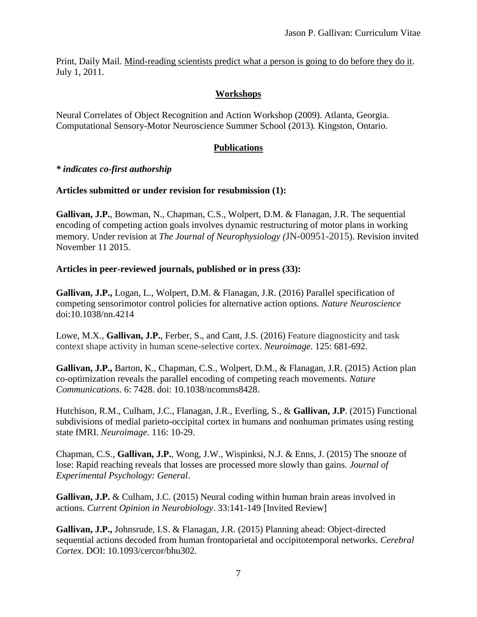Print, Daily Mail. Mind-reading scientists predict what a person is going to do before they do it. July 1, 2011.

# **Workshops**

Neural Correlates of Object Recognition and Action Workshop (2009). Atlanta, Georgia. Computational Sensory-Motor Neuroscience Summer School (2013). Kingston, Ontario.

## **Publications**

### *\* indicates co-first authorship*

## **Articles submitted or under revision for resubmission (1):**

**Gallivan, J.P.**, Bowman, N., Chapman, C.S., Wolpert, D.M. & Flanagan, J.R. The sequential encoding of competing action goals involves dynamic restructuring of motor plans in working memory. Under revision at *The Journal of Neurophysiology (*JN-00951-2015). Revision invited November 11 2015.

## **Articles in peer-reviewed journals, published or in press (33):**

**Gallivan, J.P.,** Logan, L., Wolpert, D.M. & Flanagan, J.R. (2016) Parallel specification of competing sensorimotor control policies for alternative action options. *Nature Neuroscience* doi:10.1038/nn.4214

Lowe, M.X., **Gallivan, J.P.**, Ferber, S., and Cant, J.S. (2016) Feature diagnosticity and task context shape activity in human scene-selective cortex. *Neuroimage*. 125: 681-692.

**Gallivan, J.P.,** Barton, K., Chapman, C.S., Wolpert, D.M., & Flanagan, J.R. (2015) Action plan co-optimization reveals the parallel encoding of competing reach movements. *Nature Communications*. 6: 7428. doi: 10.1038/ncomms8428.

Hutchison, R.M., Culham, J.C., Flanagan, J.R., Everling, S., & **Gallivan, J.P**. (2015) Functional subdivisions of medial parieto-occipital cortex in humans and nonhuman primates using resting state fMRI. *Neuroimage*. 116: 10-29.

Chapman, C.S., **Gallivan, J.P.**, Wong, J.W., Wispinksi, N.J. & Enns, J. (2015) The snooze of lose: Rapid reaching reveals that losses are processed more slowly than gains. *Journal of Experimental Psychology: General*.

**Gallivan, J.P.** & Culham, J.C. (2015) Neural coding within human brain areas involved in actions. *Current Opinion in Neurobiology*. 33:141-149 [Invited Review]

**Gallivan, J.P.,** Johnsrude, I.S. & Flanagan, J.R. (2015) Planning ahead: Object-directed sequential actions decoded from human frontoparietal and occipitotemporal networks. *Cerebral Cortex*. DOI: 10.1093/cercor/bhu302.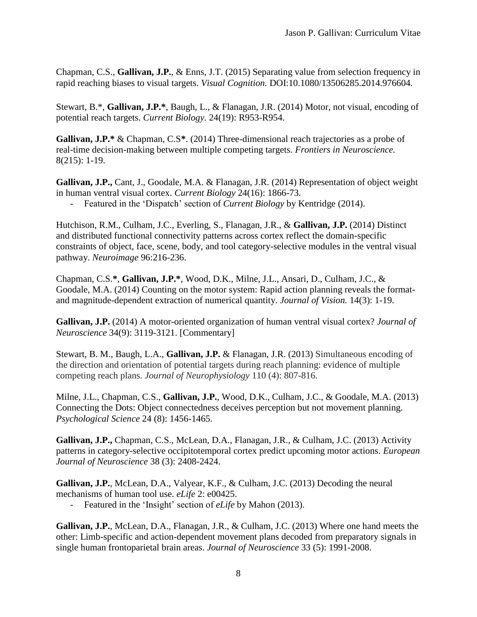Chapman, C.S., **Gallivan, J.P.**, & Enns, J.T. (2015) Separating value from selection frequency in rapid reaching biases to visual targets. *Visual Cognition.* DOI:10.1080/13506285.2014.976604.

Stewart, B.\*, **Gallivan, J.P.\***, Baugh, L., & Flanagan, J.R. (2014) Motor, not visual, encoding of potential reach targets. *Current Biology.* 24(19): R953-R954.

**Gallivan, J.P.\*** & Chapman, C.S**\***. (2014) Three-dimensional reach trajectories as a probe of real-time decision-making between multiple competing targets. *Frontiers in Neuroscience.*  8(215): 1-19.

**Gallivan, J.P.,** Cant, J., Goodale, M.A. & Flanagan, J.R. (2014) Representation of object weight in human ventral visual cortex. *Current Biology* 24(16): 1866-73.

- Featured in the 'Dispatch' section of *Current Biology* by Kentridge (2014).

Hutchison, R.M., Culham, J.C., Everling, S., Flanagan, J.R., & **Gallivan, J.P.** (2014) Distinct and distributed functional connectivity patterns across cortex reflect the domain-specific constraints of object, face, scene, body, and tool category-selective modules in the ventral visual pathway. *Neuroimage* 96:216-236.

Chapman, C.S.**\***, **Gallivan, J.P.\***, Wood, D.K., Milne, J.L., Ansari, D., Culham, J.C., & Goodale, M.A. (2014) Counting on the motor system: Rapid action planning reveals the formatand magnitude-dependent extraction of numerical quantity. *Journal of Vision.* 14(3): 1-19.

**Gallivan, J.P.** (2014) A motor-oriented organization of human ventral visual cortex? *Journal of Neuroscience* 34(9): 3119-3121. [Commentary]

Stewart, B. M., Baugh, L.A., **Gallivan, J.P.** & Flanagan, J.R. (2013) Simultaneous encoding of the direction and orientation of potential targets during reach planning: evidence of multiple competing reach plans. *Journal of Neurophysiology* 110 (4): 807-816.

Milne, J.L., Chapman, C.S., **Gallivan, J.P.**, Wood, D.K., Culham, J.C., & Goodale, M.A. (2013) Connecting the Dots: Object connectedness deceives perception but not movement planning. *Psychological Science* 24 (8): 1456-1465.

**Gallivan, J.P.,** Chapman, C.S., McLean, D.A., Flanagan, J.R., & Culham, J.C. (2013) Activity patterns in category-selective occipitotemporal cortex predict upcoming motor actions. *European Journal of Neuroscience* 38 (3): 2408-2424.

**Gallivan, J.P.**, McLean, D.A., Valyear, K.F., & Culham, J.C. (2013) Decoding the neural mechanisms of human tool use. *eLife* 2: e00425.

- Featured in the 'Insight' section of *eLife* by Mahon (2013).

**Gallivan, J.P.**, McLean, D.A., Flanagan, J.R., & Culham, J.C. (2013) Where one hand meets the other: Limb-specific and action-dependent movement plans decoded from preparatory signals in single human frontoparietal brain areas. *Journal of Neuroscience* 33 (5): 1991-2008.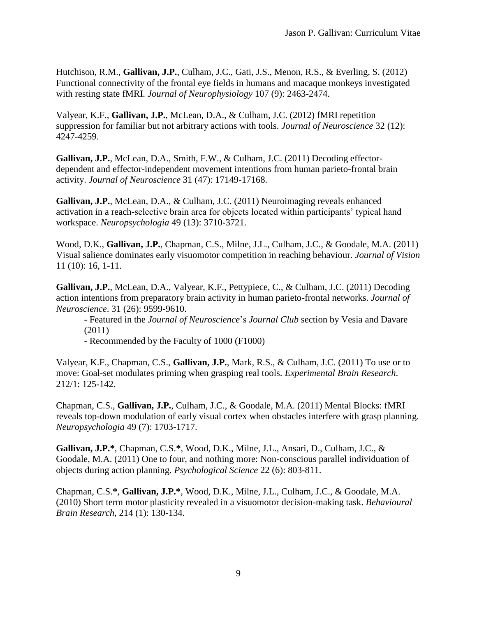Hutchison, R.M., **Gallivan, J.P.**, Culham, J.C., Gati, J.S., Menon, R.S., & Everling, S. (2012) Functional connectivity of the frontal eye fields in humans and macaque monkeys investigated with resting state fMRI. *Journal of Neurophysiology* 107 (9): 2463-2474.

Valyear, K.F., **Gallivan, J.P.**, McLean, D.A., & Culham, J.C. (2012) fMRI repetition suppression for familiar but not arbitrary actions with tools. *Journal of Neuroscience* 32 (12): 4247-4259.

**Gallivan, J.P.**, McLean, D.A., Smith, F.W., & Culham, J.C. (2011) Decoding effectordependent and effector-independent movement intentions from human parieto-frontal brain activity. *Journal of Neuroscience* 31 (47): 17149-17168.

**Gallivan, J.P.**, McLean, D.A., & Culham, J.C. (2011) Neuroimaging reveals enhanced activation in a reach-selective brain area for objects located within participants' typical hand workspace. *Neuropsychologia* 49 (13): 3710-3721.

Wood, D.K., **Gallivan, J.P.**, Chapman, C.S., Milne, J.L., Culham, J.C., & Goodale, M.A. (2011) Visual salience dominates early visuomotor competition in reaching behaviour. *Journal of Vision* 11 (10): 16, 1-11.

**Gallivan, J.P.**, McLean, D.A., Valyear, K.F., Pettypiece, C., & Culham, J.C. (2011) Decoding action intentions from preparatory brain activity in human parieto-frontal networks. *Journal of Neuroscience*. 31 (26): 9599-9610.

- Featured in the *Journal of Neuroscience*'s *Journal Club* section by Vesia and Davare (2011)

- Recommended by the Faculty of 1000 (F1000)

Valyear, K.F., Chapman, C.S., **Gallivan, J.P.**, Mark, R.S., & Culham, J.C. (2011) To use or to move: Goal-set modulates priming when grasping real tools. *Experimental Brain Research*. 212/1: 125-142.

Chapman, C.S., **Gallivan, J.P.**, Culham, J.C., & Goodale, M.A. (2011) Mental Blocks: fMRI reveals top-down modulation of early visual cortex when obstacles interfere with grasp planning. *Neuropsychologia* 49 (7): 1703-1717.

**Gallivan, J.P.\***, Chapman, C.S.**\***, Wood, D.K., Milne, J.L., Ansari, D., Culham, J.C., & Goodale, M.A. (2011) One to four, and nothing more: Non-conscious parallel individuation of objects during action planning. *Psychological Science* 22 (6): 803-811.

Chapman, C.S.**\***, **Gallivan, J.P.\***, Wood, D.K., Milne, J.L., Culham, J.C., & Goodale, M.A. (2010) Short term motor plasticity revealed in a visuomotor decision-making task. *Behavioural Brain Research*, 214 (1): 130-134.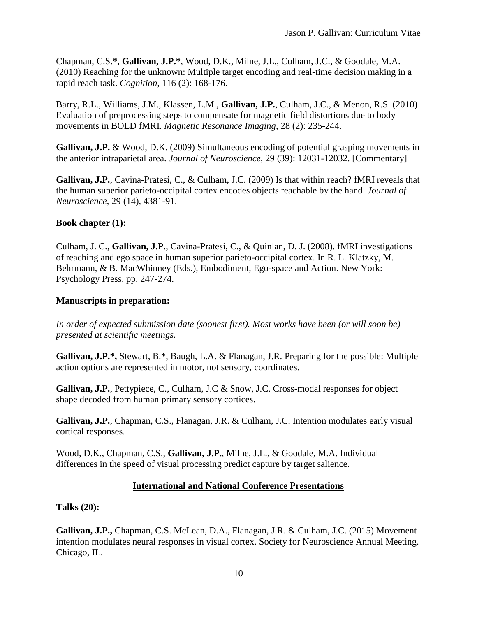Chapman, C.S.**\***, **Gallivan, J.P.\***, Wood, D.K., Milne, J.L., Culham, J.C., & Goodale, M.A. (2010) Reaching for the unknown: Multiple target encoding and real-time decision making in a rapid reach task. *Cognition*, 116 (2): 168-176.

Barry, R.L., Williams, J.M., Klassen, L.M., **Gallivan, J.P.**, Culham, J.C., & Menon, R.S. (2010) Evaluation of preprocessing steps to compensate for magnetic field distortions due to body movements in BOLD fMRI. *Magnetic Resonance Imaging*, 28 (2): 235-244.

**Gallivan, J.P.** & Wood, D.K. (2009) Simultaneous encoding of potential grasping movements in the anterior intraparietal area. *Journal of Neuroscience*, 29 (39): 12031-12032. [Commentary]

**Gallivan, J.P.**, Cavina-Pratesi, C., & Culham, J.C. (2009) Is that within reach? fMRI reveals that the human superior parieto-occipital cortex encodes objects reachable by the hand. *Journal of Neuroscience*, 29 (14), 4381-91.

## **Book chapter (1):**

Culham, J. C., **Gallivan, J.P.**, Cavina-Pratesi, C., & Quinlan, D. J. (2008). fMRI investigations of reaching and ego space in human superior parieto-occipital cortex. In R. L. Klatzky, M. Behrmann, & B. MacWhinney (Eds.), Embodiment, Ego-space and Action. New York: Psychology Press. pp. 247-274.

### **Manuscripts in preparation:**

*In order of expected submission date (soonest first). Most works have been (or will soon be) presented at scientific meetings.*

**Gallivan, J.P.\*,** Stewart, B.\*, Baugh, L.A. & Flanagan, J.R. Preparing for the possible: Multiple action options are represented in motor, not sensory, coordinates.

**Gallivan, J.P.**, Pettypiece, C., Culham, J.C & Snow, J.C. Cross-modal responses for object shape decoded from human primary sensory cortices.

**Gallivan, J.P.**, Chapman, C.S., Flanagan, J.R. & Culham, J.C. Intention modulates early visual cortical responses.

Wood, D.K., Chapman, C.S., **Gallivan, J.P.**, Milne, J.L., & Goodale, M.A. Individual differences in the speed of visual processing predict capture by target salience.

## **International and National Conference Presentations**

**Talks (20):**

**Gallivan, J.P.,** Chapman, C.S. McLean, D.A., Flanagan, J.R. & Culham, J.C. (2015) Movement intention modulates neural responses in visual cortex. Society for Neuroscience Annual Meeting. Chicago, IL.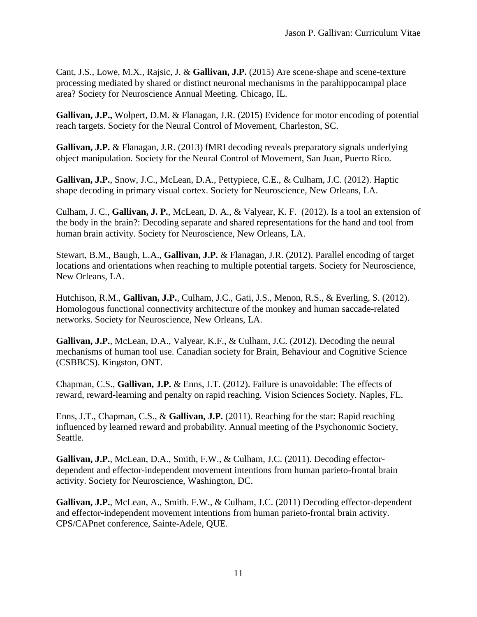Cant, J.S., Lowe, M.X., Rajsic, J. & **Gallivan, J.P.** (2015) Are scene-shape and scene-texture processing mediated by shared or distinct neuronal mechanisms in the parahippocampal place area? Society for Neuroscience Annual Meeting. Chicago, IL.

**Gallivan, J.P.,** Wolpert, D.M. & Flanagan, J.R. (2015) Evidence for motor encoding of potential reach targets. Society for the Neural Control of Movement, Charleston, SC.

**Gallivan, J.P.** & Flanagan, J.R. (2013) fMRI decoding reveals preparatory signals underlying object manipulation. Society for the Neural Control of Movement, San Juan, Puerto Rico.

**Gallivan, J.P.**, Snow, J.C., McLean, D.A., Pettypiece, C.E., & Culham, J.C. (2012). Haptic shape decoding in primary visual cortex. Society for Neuroscience, New Orleans, LA.

Culham, J. C., **Gallivan, J. P.**, McLean, D. A., & Valyear, K. F. (2012). Is a tool an extension of the body in the brain?: Decoding separate and shared representations for the hand and tool from human brain activity. Society for Neuroscience, New Orleans, LA.

Stewart, B.M., Baugh, L.A., **Gallivan, J.P.** & Flanagan, J.R. (2012). Parallel encoding of target locations and orientations when reaching to multiple potential targets. Society for Neuroscience, New Orleans, LA.

Hutchison, R.M., **Gallivan, J.P.**, Culham, J.C., Gati, J.S., Menon, R.S., & Everling, S. (2012). Homologous functional connectivity architecture of the monkey and human saccade-related networks. Society for Neuroscience, New Orleans, LA.

**Gallivan, J.P.**, McLean, D.A., Valyear, K.F., & Culham, J.C. (2012). Decoding the neural mechanisms of human tool use. Canadian society for Brain, Behaviour and Cognitive Science (CSBBCS). Kingston, ONT.

Chapman, C.S., **Gallivan, J.P.** & Enns, J.T. (2012). Failure is unavoidable: The effects of reward, reward-learning and penalty on rapid reaching. Vision Sciences Society. Naples, FL.

Enns, J.T., Chapman, C.S., & **Gallivan, J.P.** (2011). Reaching for the star: Rapid reaching influenced by learned reward and probability. Annual meeting of the Psychonomic Society, Seattle.

**Gallivan, J.P.**, McLean, D.A., Smith, F.W., & Culham, J.C. (2011). Decoding effectordependent and effector-independent movement intentions from human parieto-frontal brain activity. Society for Neuroscience, Washington, DC.

**Gallivan, J.P.**, McLean, A., Smith. F.W., & Culham, J.C. (2011) Decoding effector-dependent and effector-independent movement intentions from human parieto-frontal brain activity. CPS/CAPnet conference, Sainte-Adele, QUE.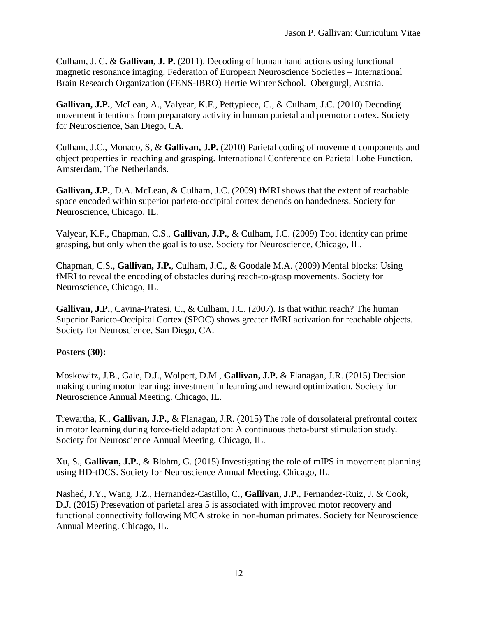Culham, J. C. & **Gallivan, J. P.** (2011). Decoding of human hand actions using functional magnetic resonance imaging. Federation of European Neuroscience Societies – International Brain Research Organization (FENS-IBRO) Hertie Winter School. Obergurgl, Austria.

**Gallivan, J.P.**, McLean, A., Valyear, K.F., Pettypiece, C., & Culham, J.C. (2010) Decoding movement intentions from preparatory activity in human parietal and premotor cortex. Society for Neuroscience, San Diego, CA.

Culham, J.C., Monaco, S, & **Gallivan, J.P.** (2010) Parietal coding of movement components and object properties in reaching and grasping. International Conference on Parietal Lobe Function, Amsterdam, The Netherlands.

**Gallivan, J.P.**, D.A. McLean, & Culham, J.C. (2009) fMRI shows that the extent of reachable space encoded within superior parieto-occipital cortex depends on handedness. Society for Neuroscience, Chicago, IL.

Valyear, K.F., Chapman, C.S., **Gallivan, J.P.**, & Culham, J.C. (2009) Tool identity can prime grasping, but only when the goal is to use. Society for Neuroscience, Chicago, IL.

Chapman, C.S., **Gallivan, J.P.**, Culham, J.C., & Goodale M.A. (2009) Mental blocks: Using fMRI to reveal the encoding of obstacles during reach-to-grasp movements. Society for Neuroscience, Chicago, IL.

**Gallivan, J.P.**, Cavina-Pratesi, C., & Culham, J.C. (2007). Is that within reach? The human Superior Parieto-Occipital Cortex (SPOC) shows greater fMRI activation for reachable objects. Society for Neuroscience, San Diego, CA.

### **Posters (30):**

Moskowitz, J.B., Gale, D.J., Wolpert, D.M., **Gallivan, J.P.** & Flanagan, J.R. (2015) Decision making during motor learning: investment in learning and reward optimization. Society for Neuroscience Annual Meeting. Chicago, IL.

Trewartha, K., **Gallivan, J.P.**, & Flanagan, J.R. (2015) The role of dorsolateral prefrontal cortex in motor learning during force-field adaptation: A continuous theta-burst stimulation study. Society for Neuroscience Annual Meeting. Chicago, IL.

Xu, S., **Gallivan, J.P.**, & Blohm, G. (2015) Investigating the role of mIPS in movement planning using HD-tDCS. Society for Neuroscience Annual Meeting. Chicago, IL.

Nashed, J.Y., Wang, J.Z., Hernandez-Castillo, C., **Gallivan, J.P.**, Fernandez-Ruiz, J. & Cook, D.J. (2015) Presevation of parietal area 5 is associated with improved motor recovery and functional connectivity following MCA stroke in non-human primates. Society for Neuroscience Annual Meeting. Chicago, IL.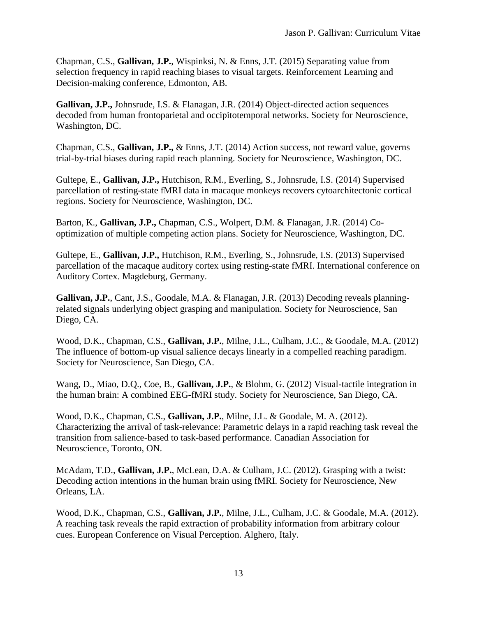Chapman, C.S., **Gallivan, J.P.**, Wispinksi, N. & Enns, J.T. (2015) Separating value from selection frequency in rapid reaching biases to visual targets. Reinforcement Learning and Decision-making conference, Edmonton, AB.

**Gallivan, J.P.,** Johnsrude, I.S. & Flanagan, J.R. (2014) Object-directed action sequences decoded from human frontoparietal and occipitotemporal networks. Society for Neuroscience, Washington, DC.

Chapman, C.S., **Gallivan, J.P.,** & Enns, J.T. (2014) Action success, not reward value, governs trial-by-trial biases during rapid reach planning. Society for Neuroscience, Washington, DC.

Gultepe, E., **Gallivan, J.P.,** Hutchison, R.M., Everling, S., Johnsrude, I.S. (2014) Supervised parcellation of resting-state fMRI data in macaque monkeys recovers cytoarchitectonic cortical regions. Society for Neuroscience, Washington, DC.

Barton, K., **Gallivan, J.P.,** Chapman, C.S., Wolpert, D.M. & Flanagan, J.R. (2014) Cooptimization of multiple competing action plans. Society for Neuroscience, Washington, DC.

Gultepe, E., **Gallivan, J.P.,** Hutchison, R.M., Everling, S., Johnsrude, I.S. (2013) Supervised parcellation of the macaque auditory cortex using resting-state fMRI. International conference on Auditory Cortex. Magdeburg, Germany.

**Gallivan, J.P.**, Cant, J.S., Goodale, M.A. & Flanagan, J.R. (2013) Decoding reveals planningrelated signals underlying object grasping and manipulation. Society for Neuroscience, San Diego, CA.

Wood, D.K., Chapman, C.S., **Gallivan, J.P.**, Milne, J.L., Culham, J.C., & Goodale, M.A. (2012) The influence of bottom-up visual salience decays linearly in a compelled reaching paradigm. Society for Neuroscience, San Diego, CA.

Wang, D., Miao, D.Q., Coe, B., **Gallivan, J.P.**, & Blohm, G. (2012) Visual-tactile integration in the human brain: A combined EEG-fMRI study. Society for Neuroscience, San Diego, CA.

Wood, D.K., Chapman, C.S., **Gallivan, J.P.**, Milne, J.L. & Goodale, M. A. (2012). Characterizing the arrival of task-relevance: Parametric delays in a rapid reaching task reveal the transition from salience-based to task-based performance. Canadian Association for Neuroscience, Toronto, ON.

McAdam, T.D., **Gallivan, J.P.**, McLean, D.A. & Culham, J.C. (2012). Grasping with a twist: Decoding action intentions in the human brain using fMRI. Society for Neuroscience, New Orleans, LA.

Wood, D.K., Chapman, C.S., **Gallivan, J.P.**, Milne, J.L., Culham, J.C. & Goodale, M.A. (2012). A reaching task reveals the rapid extraction of probability information from arbitrary colour cues. European Conference on Visual Perception. Alghero, Italy.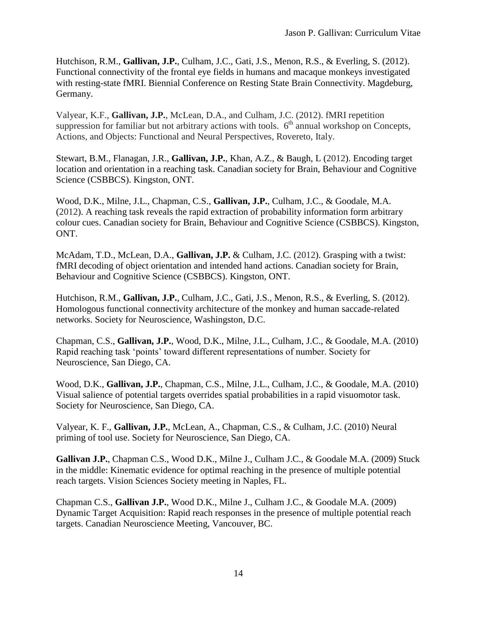Hutchison, R.M., **Gallivan, J.P.**, Culham, J.C., Gati, J.S., Menon, R.S., & Everling, S. (2012). Functional connectivity of the frontal eye fields in humans and macaque monkeys investigated with resting-state fMRI. Biennial Conference on Resting State Brain Connectivity. Magdeburg, Germany.

Valyear, K.F., **Gallivan, J.P.**, McLean, D.A., and Culham, J.C. (2012). fMRI repetition suppression for familiar but not arbitrary actions with tools.  $6<sup>th</sup>$  annual workshop on Concepts, Actions, and Objects: Functional and Neural Perspectives*,* Rovereto, Italy.

Stewart, B.M., Flanagan, J.R., **Gallivan, J.P.**, Khan, A.Z., & Baugh, L (2012). Encoding target location and orientation in a reaching task. Canadian society for Brain, Behaviour and Cognitive Science (CSBBCS). Kingston, ONT.

Wood, D.K., Milne, J.L., Chapman, C.S., **Gallivan, J.P.**, Culham, J.C., & Goodale, M.A. (2012). A reaching task reveals the rapid extraction of probability information form arbitrary colour cues. Canadian society for Brain, Behaviour and Cognitive Science (CSBBCS). Kingston, ONT.

McAdam, T.D., McLean, D.A., **Gallivan, J.P.** & Culham, J.C. (2012). Grasping with a twist: fMRI decoding of object orientation and intended hand actions. Canadian society for Brain, Behaviour and Cognitive Science (CSBBCS). Kingston, ONT.

Hutchison, R.M., **Gallivan, J.P.**, Culham, J.C., Gati, J.S., Menon, R.S., & Everling, S. (2012). Homologous functional connectivity architecture of the monkey and human saccade-related networks. Society for Neuroscience, Washingston, D.C.

Chapman, C.S., **Gallivan, J.P.**, Wood, D.K., Milne, J.L., Culham, J.C., & Goodale, M.A. (2010) Rapid reaching task 'points' toward different representations of number. Society for Neuroscience, San Diego, CA.

Wood, D.K., **Gallivan, J.P.**, Chapman, C.S., Milne, J.L., Culham, J.C., & Goodale, M.A. (2010) Visual salience of potential targets overrides spatial probabilities in a rapid visuomotor task. Society for Neuroscience, San Diego, CA.

Valyear, K. F., **Gallivan, J.P.**, McLean, A., Chapman, C.S., & Culham, J.C. (2010) Neural priming of tool use. Society for Neuroscience, San Diego, CA.

**Gallivan J.P.**, Chapman C.S., Wood D.K., Milne J., Culham J.C., & Goodale M.A. (2009) Stuck in the middle: Kinematic evidence for optimal reaching in the presence of multiple potential reach targets. Vision Sciences Society meeting in Naples, FL.

Chapman C.S., **Gallivan J.P.**, Wood D.K., Milne J., Culham J.C., & Goodale M.A. (2009) Dynamic Target Acquisition: Rapid reach responses in the presence of multiple potential reach targets. Canadian Neuroscience Meeting, Vancouver, BC.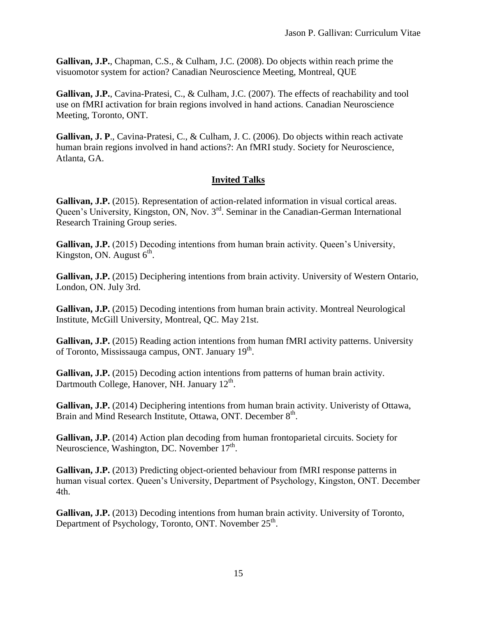**Gallivan, J.P.**, Chapman, C.S., & Culham, J.C. (2008). Do objects within reach prime the visuomotor system for action? Canadian Neuroscience Meeting, Montreal, QUE

**Gallivan, J.P.**, Cavina-Pratesi, C., & Culham, J.C. (2007). The effects of reachability and tool use on fMRI activation for brain regions involved in hand actions. Canadian Neuroscience Meeting, Toronto, ONT.

**Gallivan, J. P**., Cavina-Pratesi, C., & Culham, J. C. (2006). Do objects within reach activate human brain regions involved in hand actions?: An fMRI study. Society for Neuroscience, Atlanta, GA.

## **Invited Talks**

Gallivan, J.P. (2015). Representation of action-related information in visual cortical areas. Queen's University, Kingston, ON, Nov. 3<sup>rd</sup>. Seminar in the Canadian-German International Research Training Group series.

Gallivan, J.P. (2015) Decoding intentions from human brain activity. Oueen's University, Kingston, ON. August  $6<sup>th</sup>$ .

**Gallivan, J.P.** (2015) Deciphering intentions from brain activity. University of Western Ontario, London, ON. July 3rd.

**Gallivan, J.P.** (2015) Decoding intentions from human brain activity. Montreal Neurological Institute, McGill University, Montreal, QC. May 21st.

Gallivan, J.P. (2015) Reading action intentions from human fMRI activity patterns. University of Toronto, Mississauga campus, ONT. January 19<sup>th</sup>.

Gallivan, J.P. (2015) Decoding action intentions from patterns of human brain activity. Dartmouth College, Hanover, NH. January 12<sup>th</sup>.

**Gallivan, J.P.** (2014) Deciphering intentions from human brain activity. Univeristy of Ottawa, Brain and Mind Research Institute, Ottawa, ONT. December 8<sup>th</sup>.

**Gallivan, J.P.** (2014) Action plan decoding from human frontoparietal circuits. Society for Neuroscience, Washington, DC. November 17<sup>th</sup>.

**Gallivan, J.P.** (2013) Predicting object-oriented behaviour from fMRI response patterns in human visual cortex. Queen's University, Department of Psychology, Kingston, ONT. December 4th.

**Gallivan, J.P.** (2013) Decoding intentions from human brain activity. University of Toronto, Department of Psychology, Toronto, ONT. November 25<sup>th</sup>.